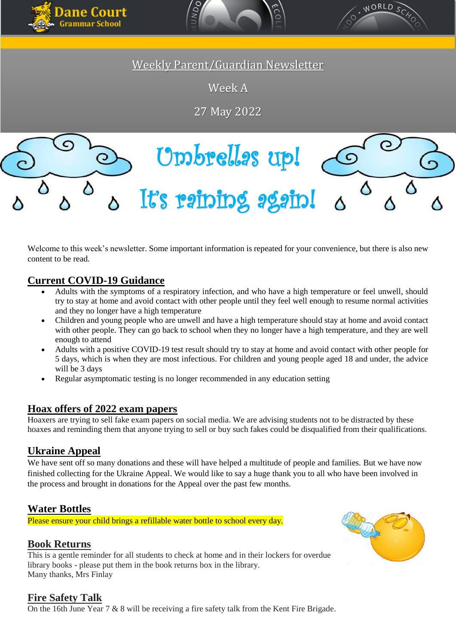





Weekly Parent/Guardian Newsletter

Week A

27 May 2022

# Umbrellas up! (၀ It's raining again!

Welcome to this week's newsletter. Some important information is repeated for your convenience, but there is also new content to be read.

# **Current COVID-19 Guidance**

- Adults with the symptoms of a respiratory infection, and who have a high temperature or feel unwell, should try to stay at home and avoid contact with other people until they feel well enough to resume normal activities and they no longer have a high temperature
- Children and young people who are unwell and have a high temperature should stay at home and avoid contact with other people. They can go back to school when they no longer have a high temperature, and they are well enough to attend
- Adults with a positive COVID-19 test result should try to stay at home and avoid contact with other people for 5 days, which is when they are most infectious. For children and young people aged 18 and under, the advice will be 3 days
- Regular asymptomatic testing is no longer recommended in any education setting

#### **Hoax offers of 2022 exam papers**

Hoaxers are trying to sell fake exam papers on social media. We are advising students not to be distracted by these hoaxes and reminding them that anyone trying to sell or buy such fakes could be disqualified from their qualifications.

# **Ukraine Appeal**

We have sent off so many donations and these will have helped a multitude of people and families. But we have now finished collecting for the Ukraine Appeal. We would like to say a huge thank you to all who have been involved in the process and brought in donations for the Appeal over the past few months.

## **Water Bottles**

Please ensure your child brings a refillable water bottle to school every day.

## **Book Returns**

This is a gentle reminder for all students to check at home and in their lockers for overdue library books - please put them in the book returns box in the library. Many thanks, Mrs Finlay



## **Fire Safety Talk**

On the 16th June Year 7 & 8 will be receiving a fire safety talk from the Kent Fire Brigade.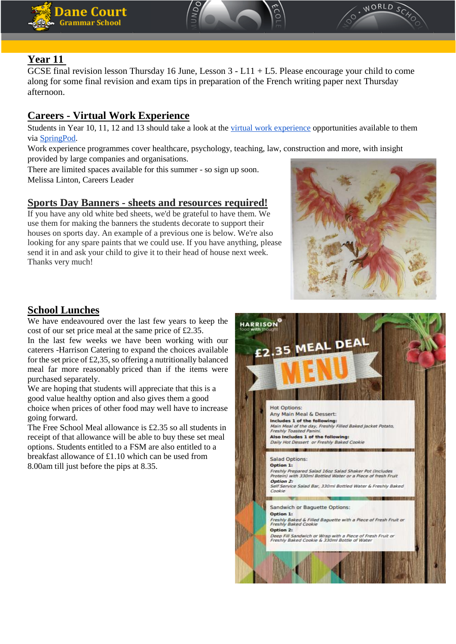





# **Year 11**

GCSE final revision lesson Thursday 16 June, Lesson 3 - L11 + L5. Please encourage your child to come along for some final revision and exam tips in preparation of the French writing paper next Thursday afternoon.

# **Careers - Virtual Work Experience**

Students in Year 10, 11, 12 and 13 should take a look at the [virtual work experience](https://www.springpod.com/virtual-work-experience) opportunities available to them via [SpringPod.](https://www.springpod.com/)

Work experience programmes cover healthcare, psychology, teaching, law, construction and more, with insight provided by large companies and organisations.

There are limited spaces available for this summer - so sign up soon. Melissa Linton, Careers Leader

## **Sports Day Banners - sheets and resources required!**

If you have any old white bed sheets, we'd be grateful to have them. We use them for making the banners the students decorate to support their houses on sports day. An example of a previous one is below. We're also looking for any spare paints that we could use. If you have anything, please send it in and ask your child to give it to their head of house next week. Thanks very much!



## **School Lunches**

We have endeavoured over the last few years to keep the cost of our set price meal at the same price of £2.35.

In the last few weeks we have been working with our caterers -Harrison Catering to expand the choices available for the set price of £2,35, so offering a nutritionally balanced meal far more reasonably priced than if the items were purchased separately.

We are hoping that students will appreciate that this is a good value healthy option and also gives them a good choice when prices of other food may well have to increase going forward.

The Free School Meal allowance is £2.35 so all students in receipt of that allowance will be able to buy these set meal options. Students entitled to a FSM are also entitled to a breakfast allowance of £1.10 which can be used from 8.00am till just before the pips at 8.35.

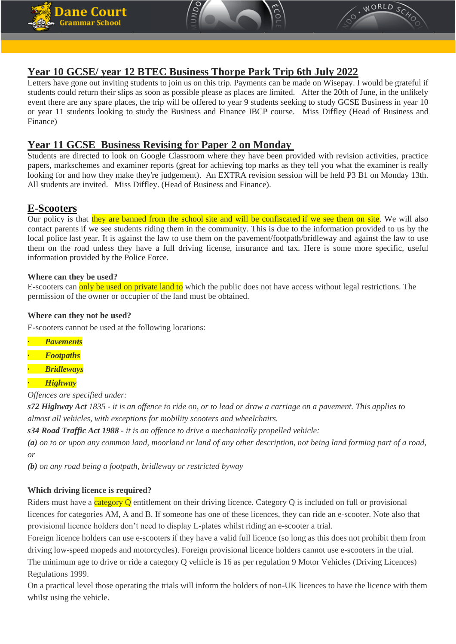





#### **Year 10 GCSE/ year 12 BTEC Business Thorpe Park Trip 6th July 2022**

Letters have gone out inviting students to join us on this trip. Payments can be made on Wisepay. I would be grateful if students could return their slips as soon as possible please as places are limited. After the 20th of June, in the unlikely event there are any spare places, the trip will be offered to year 9 students seeking to study GCSE Business in year 10 or year 11 students looking to study the Business and Finance IBCP course. Miss Diffley (Head of Business and Finance)

#### **Year 11 GCSE Business Revising for Paper 2 on Monday**

Students are directed to look on Google Classroom where they have been provided with revision activities, practice papers, markschemes and examiner reports (great for achieving top marks as they tell you what the examiner is really looking for and how they make they're judgement). An EXTRA revision session will be held P3 B1 on Monday 13th. All students are invited. Miss Diffley. (Head of Business and Finance).

#### **E-Scooters**

Our policy is that they are banned from the school site and will be confiscated if we see them on site. We will also contact parents if we see students riding them in the community. This is due to the information provided to us by the local police last year. It is against the law to use them on the pavement/footpath/bridleway and against the law to use them on the road unless they have a full driving license, insurance and tax. Here is some more specific, useful information provided by the Police Force.

#### **Where can they be used?**

E-scooters can only be used on private land to which the public does not have access without legal restrictions. The permission of the owner or occupier of the land must be obtained.

#### **Where can they not be used?**

E-scooters cannot be used at the following locations:

- **·** *Pavements*
- **·** *Footpaths*
- **·** *Bridleways*
- **·** *Highway*

*Offences are specified under:*

*s72 Highway Act 1835 - it is an offence to ride on, or to lead or draw a carriage on a pavement. This applies to almost all vehicles, with exceptions for mobility scooters and wheelchairs.*

*s34 Road Traffic Act 1988 - it is an offence to drive a mechanically propelled vehicle:*

*(a) on to or upon any common land, moorland or land of any other description, not being land forming part of a road, or*

*(b) on any road being a footpath, bridleway or restricted byway*

#### **Which driving licence is required?**

Riders must have a category  $Q$  entitlement on their driving licence. Category  $Q$  is included on full or provisional licences for categories AM, A and B. If someone has one of these licences, they can ride an e-scooter. Note also that provisional licence holders don't need to display L-plates whilst riding an e-scooter a trial.

Foreign licence holders can use e-scooters if they have a valid full licence (so long as this does not prohibit them from driving low-speed mopeds and motorcycles). Foreign provisional licence holders cannot use e-scooters in the trial. The minimum age to drive or ride a category Q vehicle is 16 as per regulation 9 Motor Vehicles (Driving Licences) Regulations 1999.

On a practical level those operating the trials will inform the holders of non-UK licences to have the licence with them whilst using the vehicle.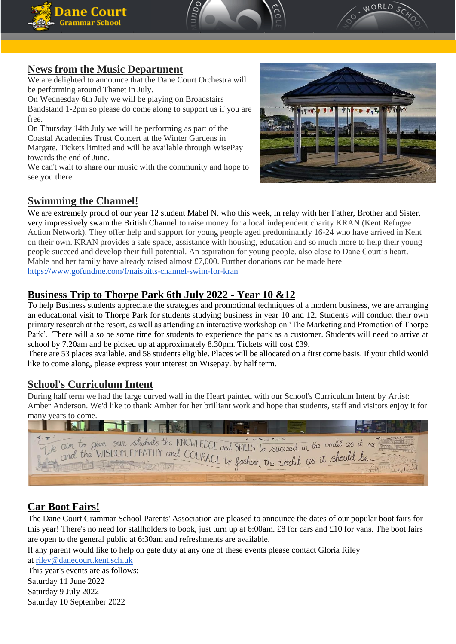





## **News from the Music Department**

We are delighted to announce that the Dane Court Orchestra will be performing around Thanet in July.

On Wednesday 6th July we will be playing on Broadstairs Bandstand 1-2pm so please do come along to support us if you are free.

On Thursday 14th July we will be performing as part of the Coastal Academies Trust Concert at the Winter Gardens in Margate. Tickets limited and will be available through WisePay towards the end of June.

We can't wait to share our music with the community and hope to see you there.



#### **Swimming the Channel!**

We are extremely proud of our year 12 student Mabel N. who this week, in relay with her Father, Brother and Sister, very impressively swam the British Channel to raise money for a local independent charity KRAN (Kent Refugee Action Network). They offer help and support for young people aged predominantly 16-24 who have arrived in Kent on their own. KRAN provides a safe space, assistance with housing, education and so much more to help their young people succeed and develop their full potential. An aspiration for young people, also close to Dane Court's heart. Mable and her family have already raised almost £7,000. Further donations can be made here <https://www.gofundme.com/f/naisbitts-channel-swim-for-kran>

# **Business Trip to Thorpe Park 6th July 2022 - Year 10 &12**

To help Business students appreciate the strategies and promotional techniques of a modern business, we are arranging an educational visit to Thorpe Park for students studying business in year 10 and 12. Students will conduct their own primary research at the resort, as well as attending an interactive workshop on 'The Marketing and Promotion of Thorpe Park'. There will also be some time for students to experience the park as a customer. Students will need to arrive at school by 7.20am and be picked up at approximately 8.30pm. Tickets will cost £39.

There are 53 places available. and 58 students eligible. Places will be allocated on a first come basis. If your child would like to come along, please express your interest on Wisepay. by half term.

## **School's Curriculum Intent**

During half term we had the large curved wall in the Heart painted with our School's Curriculum Intent by Artist: Amber Anderson. We'd like to thank Amber for her brilliant work and hope that students, staff and visitors enjoy it for many years to come.

| Le cim to give our students the KNOWLEDGE and SKILLS to succeed in the world as it is. |
|----------------------------------------------------------------------------------------|
| 1.11SDOM EMPATHY and COURAGE to fashion the<br>in the world as it should be            |
|                                                                                        |
|                                                                                        |

# **Car Boot Fairs!**

The Dane Court Grammar School Parents' Association are pleased to announce the dates of our popular boot fairs for this year! There's no need for stallholders to book, just turn up at 6:00am. £8 for cars and £10 for vans. The boot fairs are open to the general public at 6:30am and refreshments are available.

If any parent would like to help on gate duty at any one of these events please contact Gloria Riley

at [riley@danecourt.kent.sch.uk](mailto:riley@danecourt.kent.sch.uk)

This year's events are as follows: Saturday 11 June 2022 Saturday 9 July 2022 Saturday 10 September 2022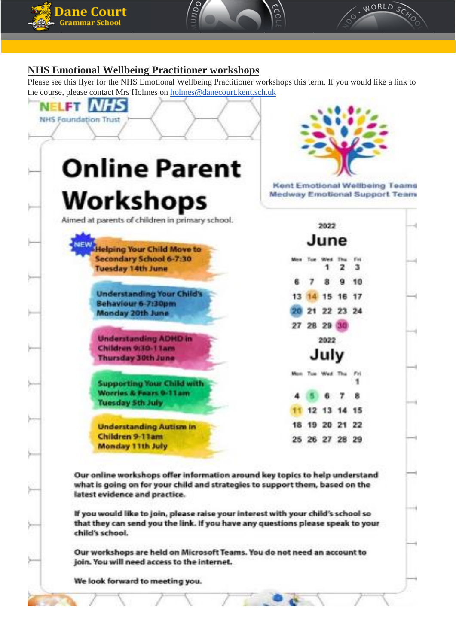





## **NHS Emotional Wellbeing Practitioner workshops**

Please see this flyer for the NHS Emotional Wellbeing Practitioner workshops this term. If you would like a link to the course, please contact Mrs Holmes on [holmes@danecourt.kent.sch.uk](mailto:holmes@danecourt.kent.sch.uk)



Our workshops are held on Microsoft Teams. You do not need an account to join. You will need access to the internet.

We look forward to meeting you.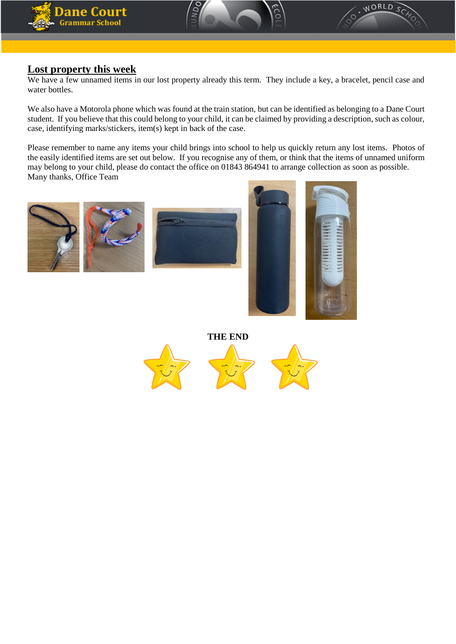





#### **Lost property this week**

We have a few unnamed items in our lost property already this term. They include a key, a bracelet, pencil case and water bottles.

We also have a Motorola phone which was found at the train station, but can be identified as belonging to a Dane Court student. If you believe that this could belong to your child, it can be claimed by providing a description, such as colour, case, identifying marks/stickers, item(s) kept in back of the case.

Please remember to name any items your child brings into school to help us quickly return any lost items. Photos of the easily identified items are set out below. If you recognise any of them, or think that the items of unnamed uniform may belong to your child, please do contact the office on 01843 864941 to arrange collection as soon as possible. Many thanks, Office Team







**THE END**